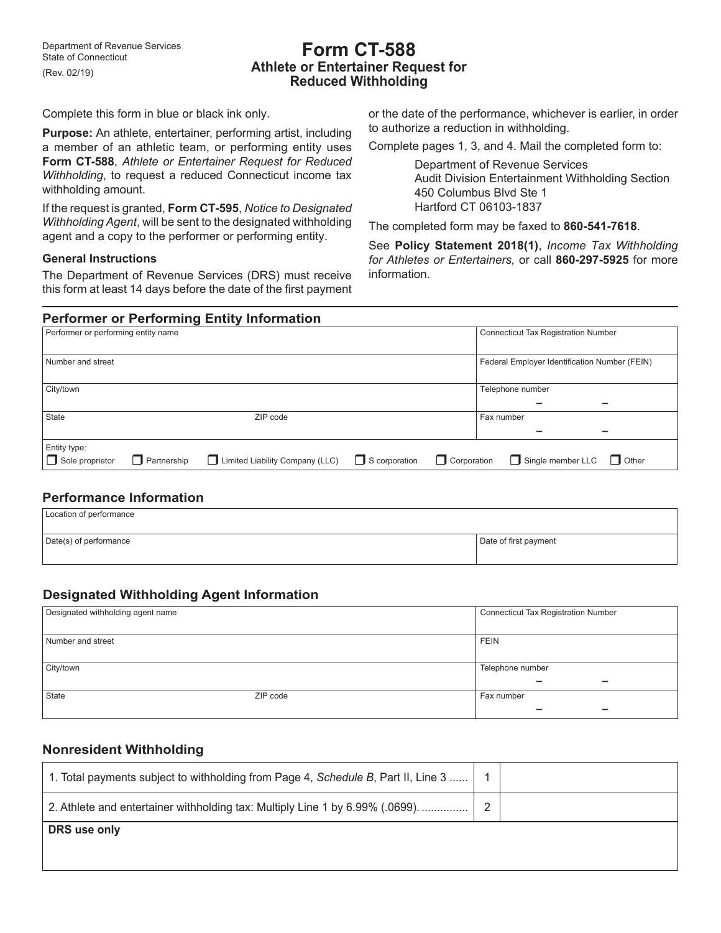# **Form CT‑588 Athlete or Entertainer Request for Reduced Withholding**

Complete this form in blue or black ink only.

**Purpose:** An athlete, entertainer, performing artist, including a member of an athletic team, or performing entity uses **Form CT‑588**, *Athlete or Entertainer Request for Reduced Withholding*, to request a reduced Connecticut income tax withholding amount.

If the request is granted, **Form CT‑595**, *Notice to Designated Withholding Agent*, will be sent to the designated withholding agent and a copy to the performer or performing entity.

#### **General Instructions**

The Department of Revenue Services (DRS) must receive this form at least 14 days before the date of the first payment or the date of the performance, whichever is earlier, in order to authorize a reduction in withholding.

Complete pages 1, 3, and 4. Mail the completed form to:

Department of Revenue Services Audit Division Entertainment Withholding Section 450 Columbus Blvd Ste 1 Hartford CT 06103-1837

The completed form may be faxed to **860‑541‑7618**.

See **Policy Statement 2018(1)**, *Income Tax Withholding for Athletes or Entertainers,* or call **860‑297‑5925** for more information.

# **Performer or Performing Entity Information**

| Entity type:<br>Sole proprietor<br><b>Partnership</b> | Limited Liability Company (LLC) | $\Box$ S corporation<br>$\Box$ Single member LLC<br><b>Corporation</b><br>$\Box$ Other |  |
|-------------------------------------------------------|---------------------------------|----------------------------------------------------------------------------------------|--|
| State                                                 | ZIP code                        | Fax number<br>-                                                                        |  |
| City/town                                             |                                 | Telephone number                                                                       |  |
| Number and street                                     |                                 | Federal Employer Identification Number (FEIN)                                          |  |
| Performer or performing entity name                   |                                 | Connecticut Tax Registration Number                                                    |  |

#### **Performance Information**

| Location of performance |                       |
|-------------------------|-----------------------|
| Date(s) of performance  | Date of first payment |

## **Designated Withholding Agent Information**

| Designated withholding agent name | <b>Connecticut Tax Registration Number</b> |                                                      |  |
|-----------------------------------|--------------------------------------------|------------------------------------------------------|--|
|                                   |                                            |                                                      |  |
| Number and street                 |                                            | <b>FEIN</b>                                          |  |
|                                   |                                            |                                                      |  |
| City/town                         |                                            | Telephone number                                     |  |
|                                   |                                            | $\overline{\phantom{0}}$<br>$\overline{\phantom{0}}$ |  |
| State                             | ZIP code                                   | Fax number                                           |  |
|                                   |                                            | -                                                    |  |

#### **Nonresident Withholding**

| $\mid$ 1. Total payments subject to withholding from Page 4, Schedule B, Part II, Line 3 $\mid$ |                |  |
|-------------------------------------------------------------------------------------------------|----------------|--|
| 2. Athlete and entertainer withholding tax: Multiply Line 1 by 6.99% (.0699).                   | $\overline{2}$ |  |
| DRS use only                                                                                    |                |  |
|                                                                                                 |                |  |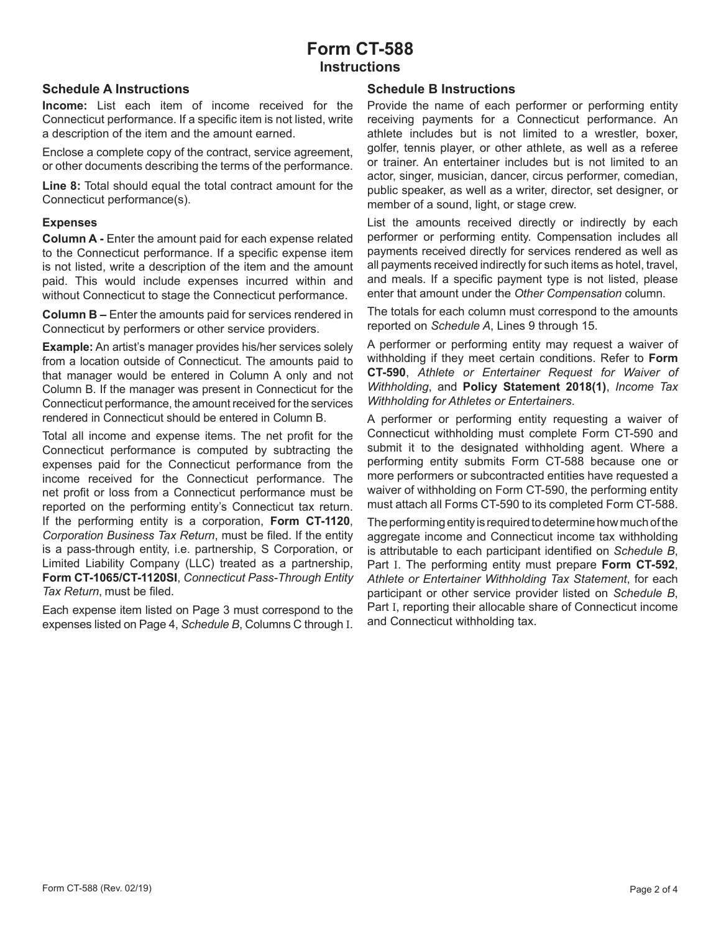# **Form CT-588 Instructions**

### **Schedule A Instructions**

**Income:** List each item of income received for the Connecticut performance. If a specific item is not listed, write a description of the item and the amount earned.

Enclose a complete copy of the contract, service agreement, or other documents describing the terms of the performance.

**Line 8:** Total should equal the total contract amount for the Connecticut performance(s).

#### **Expenses**

**Column A -** Enter the amount paid for each expense related to the Connecticut performance. If a specific expense item is not listed, write a description of the item and the amount paid. This would include expenses incurred within and without Connecticut to stage the Connecticut performance.

**Column B –** Enter the amounts paid for services rendered in Connecticut by performers or other service providers.

**Example:** An artist's manager provides his/her services solely from a location outside of Connecticut. The amounts paid to that manager would be entered in Column A only and not Column B. If the manager was present in Connecticut for the Connecticut performance, the amount received for the services rendered in Connecticut should be entered in Column B.

Total all income and expense items. The net profit for the Connecticut performance is computed by subtracting the expenses paid for the Connecticut performance from the income received for the Connecticut performance. The net profit or loss from a Connecticut performance must be reported on the performing entity's Connecticut tax return. If the performing entity is a corporation, **Form CT‑1120**, *Corporation Business Tax Return*, must be filed. If the entity is a pass-through entity, i.e. partnership, S Corporation, or Limited Liability Company (LLC) treated as a partnership, **Form CT‑1065/CT‑1120SI**, *Connecticut Pass‑Through Entity Tax Return*, must be filed.

Each expense item listed on Page 3 must correspond to the expenses listed on Page 4, *Schedule B*, Columns C through I.

#### **Schedule B Instructions**

Provide the name of each performer or performing entity receiving payments for a Connecticut performance. An athlete includes but is not limited to a wrestler, boxer, golfer, tennis player, or other athlete, as well as a referee or trainer. An entertainer includes but is not limited to an actor, singer, musician, dancer, circus performer, comedian, public speaker, as well as a writer, director, set designer, or member of a sound, light, or stage crew.

List the amounts received directly or indirectly by each performer or performing entity. Compensation includes all payments received directly for services rendered as well as all payments received indirectly for such items as hotel, travel, and meals. If a specific payment type is not listed, please enter that amount under the *Other Compensation* column.

The totals for each column must correspond to the amounts reported on *Schedule A*, Lines 9 through 15.

A performer or performing entity may request a waiver of withholding if they meet certain conditions. Refer to **Form CT‑590**, *Athlete or Entertainer Request for Waiver of Withholding*, and **Policy Statement 2018(1)**, *Income Tax Withholding for Athletes or Entertainers*.

A performer or performing entity requesting a waiver of Connecticut withholding must complete Form CT-590 and submit it to the designated withholding agent. Where a performing entity submits Form CT-588 because one or more performers or subcontracted entities have requested a waiver of withholding on Form CT-590, the performing entity must attach all Forms CT-590 to its completed Form CT-588.

The performing entity is required to determine how much of the aggregate income and Connecticut income tax withholding is attributable to each participant identified on *Schedule B*, Part I. The performing entity must prepare **Form CT‑592**, *Athlete or Entertainer Withholding Tax Statement*, for each participant or other service provider listed on *Schedule B*, Part I, reporting their allocable share of Connecticut income and Connecticut withholding tax.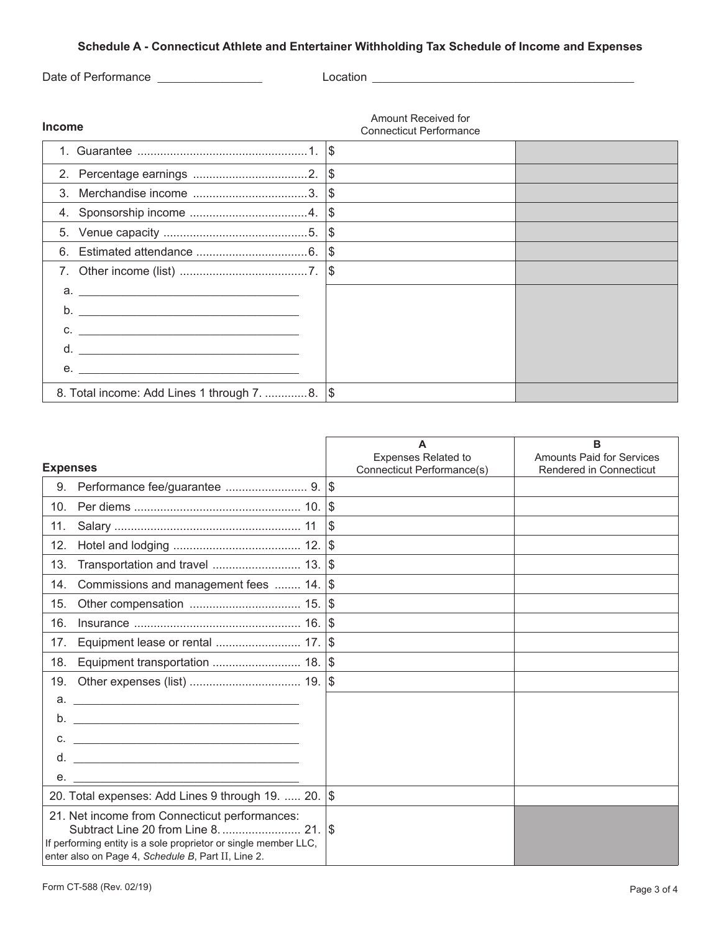# **Schedule A - Connecticut Athlete and Entertainer Withholding Tax Schedule of Income and Expenses**

Date of Performance \_\_\_\_\_\_\_\_\_\_\_\_\_\_\_\_\_\_\_\_ Location \_\_\_\_\_\_\_\_\_\_\_\_\_\_\_\_\_\_\_\_\_\_\_\_\_\_\_\_\_\_\_\_\_\_\_\_\_\_\_\_\_\_\_\_\_\_\_\_\_\_

**Income**

Amount Received for Connecticut Performance

|                                                                                                                                        | ∣\$ |  |  |  |  |
|----------------------------------------------------------------------------------------------------------------------------------------|-----|--|--|--|--|
|                                                                                                                                        |     |  |  |  |  |
| $3_{-}$                                                                                                                                |     |  |  |  |  |
|                                                                                                                                        |     |  |  |  |  |
|                                                                                                                                        |     |  |  |  |  |
| 6.                                                                                                                                     | \$  |  |  |  |  |
|                                                                                                                                        | \$  |  |  |  |  |
| $a.$ $\overline{\phantom{a}}$                                                                                                          |     |  |  |  |  |
| b <sub>1</sub><br><u> 1999 - Johann Barbara, martin amerikan basal dan berasal dan berasal dalam basal dan berasal dan berasal dan</u> |     |  |  |  |  |
| $C.$ $\qquad \qquad$                                                                                                                   |     |  |  |  |  |
| d.<br><u> 1989 - Jan Barbara, margaret e populari e propinsi populari e propinsi propinsi populari e propinsi populari </u>            |     |  |  |  |  |
| <u> 1989 - Johann John Hermer, mars eta inperiodoren eta inperiodoren eta inperiodoren erroman erroman erroman e</u><br>е.             |     |  |  |  |  |
| 8. Total income: Add Lines 1 through 7. 8.   \$                                                                                        |     |  |  |  |  |

|                 |                                                                                                                                                                        | A<br>Expenses Related to   | в<br><b>Amounts Paid for Services</b> |
|-----------------|------------------------------------------------------------------------------------------------------------------------------------------------------------------------|----------------------------|---------------------------------------|
| <b>Expenses</b> |                                                                                                                                                                        | Connecticut Performance(s) | Rendered in Connecticut               |
| 9.              |                                                                                                                                                                        |                            |                                       |
| 10 <sub>1</sub> |                                                                                                                                                                        |                            |                                       |
| 11.             |                                                                                                                                                                        | \$                         |                                       |
| 12.             |                                                                                                                                                                        |                            |                                       |
| 13.             |                                                                                                                                                                        |                            |                                       |
| 14.             | Commissions and management fees  14. \$                                                                                                                                |                            |                                       |
| 15.             |                                                                                                                                                                        |                            |                                       |
| 16.             |                                                                                                                                                                        |                            |                                       |
| 17.             |                                                                                                                                                                        |                            |                                       |
| 18.             | Equipment transportation  18.  \$                                                                                                                                      |                            |                                       |
| 19.             |                                                                                                                                                                        |                            |                                       |
|                 |                                                                                                                                                                        |                            |                                       |
| b.              |                                                                                                                                                                        |                            |                                       |
|                 | $C.$ $\qquad \qquad$                                                                                                                                                   |                            |                                       |
| d.              |                                                                                                                                                                        |                            |                                       |
| е.              |                                                                                                                                                                        |                            |                                       |
|                 | 20. Total expenses: Add Lines 9 through 19.  20. \$                                                                                                                    |                            |                                       |
|                 | 21. Net income from Connecticut performances:<br>If performing entity is a sole proprietor or single member LLC,<br>enter also on Page 4, Schedule B, Part II, Line 2. |                            |                                       |